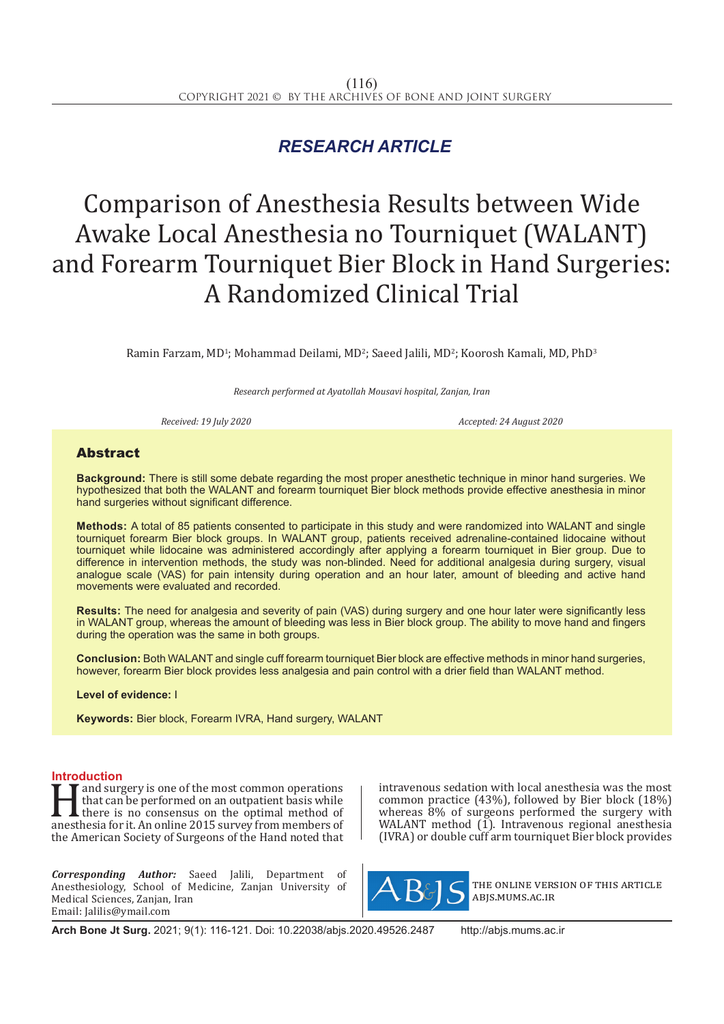## *RESEARCH ARTICLE*

# Comparison of Anesthesia Results between Wide Awake Local Anesthesia no Tourniquet (WALANT) and Forearm Tourniquet Bier Block in Hand Surgeries: A Randomized Clinical Trial

Ramin Farzam, MD<sup>1</sup>; Mohammad Deilami, MD<sup>2</sup>; Saeed Jalili, MD<sup>2</sup>; Koorosh Kamali, MD, PhD<sup>3</sup>

*Research performed at Ayatollah Mousavi hospital, Zanjan, Iran*

*Received: 19 July 2020 Accepted: 24 August 2020*

### Abstract

**Background:** There is still some debate regarding the most proper anesthetic technique in minor hand surgeries. We hypothesized that both the WALANT and forearm tourniquet Bier block methods provide effective anesthesia in minor hand surgeries without significant difference.

**Methods:** A total of 85 patients consented to participate in this study and were randomized into WALANT and single tourniquet forearm Bier block groups. In WALANT group, patients received adrenaline-contained lidocaine without tourniquet while lidocaine was administered accordingly after applying a forearm tourniquet in Bier group. Due to difference in intervention methods, the study was non-blinded. Need for additional analgesia during surgery, visual analogue scale (VAS) for pain intensity during operation and an hour later, amount of bleeding and active hand movements were evaluated and recorded.

**Results:** The need for analgesia and severity of pain (VAS) during surgery and one hour later were significantly less in WALANT group, whereas the amount of bleeding was less in Bier block group. The ability to move hand and fingers during the operation was the same in both groups.

**Conclusion:** Both WALANT and single cuff forearm tourniquet Bier block are effective methods in minor hand surgeries, however, forearm Bier block provides less analgesia and pain control with a drier field than WALANT method.

**Level of evidence:** I

**Keywords:** Bier block, Forearm IVRA, Hand surgery, WALANT

**Introduction**<br>**T T** and surgery is one of the most common operations and surgery is one of the most common operations<br>that can be performed on an outpatient basis while<br>there is no consensus on the optimal method of<br>anesthesia for it. An online 2015 survey from members of<br>the American Socie that can be performed on an outpatient basis while there is no consensus on the optimal method of anesthesia for it. An online 2015 survey from members of the American Society of Surgeons of the Hand noted that

*Corresponding Author:* Saeed Jalili, Department of Anesthesiology, School of Medicine, Zanjan University of Medical Sciences, Zanjan, Iran Email: Jalilis@ymail.com

intravenous sedation with local anesthesia was the most common practice (43%), followed by Bier block (18%) whereas 8% of surgeons performed the surgery with WALANT method (1). Intravenous regional anesthesia (IVRA) or double cuff arm tourniquet Bier block provides



the online version of this article abjs.mums.ac.ir

**Arch Bone Jt Surg.** 2021; 9(1): 116-121. Doi: 10.22038/abjs.2020.49526.2487 http://abjs.mums.ac.ir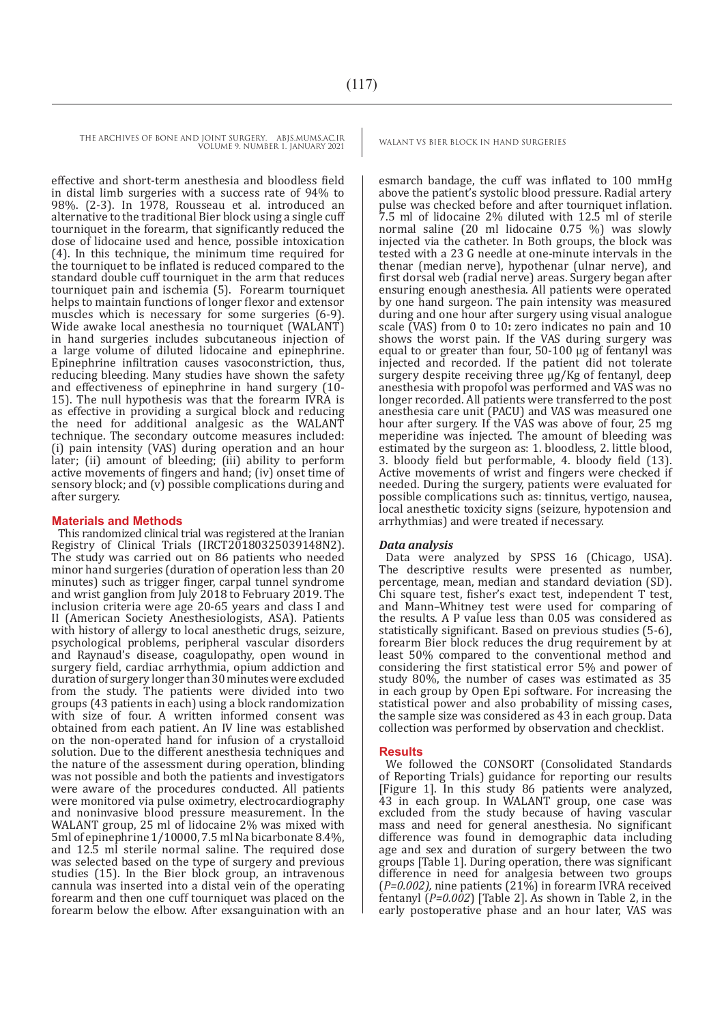effective and short-term anesthesia and bloodless field in distal limb surgeries with a success rate of 94% to 98%. (2-3). In 1978, Rousseau et al. introduced an alternative to the traditional Bier block using a single cuff tourniquet in the forearm, that significantly reduced the dose of lidocaine used and hence, possible intoxication (4). In this technique, the minimum time required for the tourniquet to be inflated is reduced compared to the standard double cuff tourniquet in the arm that reduces tourniquet pain and ischemia (5). Forearm tourniquet helps to maintain functions of longer flexor and extensor muscles which is necessary for some surgeries (6-9). Wide awake local anesthesia no tourniquet (WALANT) in hand surgeries includes subcutaneous injection of a large volume of diluted lidocaine and epinephrine. Epinephrine infiltration causes vasoconstriction, thus, reducing bleeding. Many studies have shown the safety and effectiveness of epinephrine in hand surgery (10- 15). The null hypothesis was that the forearm IVRA is as effective in providing a surgical block and reducing the need for additional analgesic as the WALANT technique. The secondary outcome measures included: (i) pain intensity (VAS) during operation and an hour later: (ii) amount of bleeding: (iii) ability to perform active movements of fingers and hand; (iv) onset time of sensory block; and (v) possible complications during and after surgery.

#### **Materials and Methods**

This randomized clinical trial was registered at the Iranian Registry of Clinical Trials  $(IRCT20180325039148N2)$ . The study was carried out on 86 patients who needed minor hand surgeries (duration of operation less than 20 minutes) such as trigger finger, carpal tunnel syndrome and wrist ganglion from July 2018 to February 2019. The inclusion criteria were age 20-65 years and class I and II (American Society Anesthesiologists, ASA). Patients with history of allergy to local anesthetic drugs, seizure, psychological problems, peripheral vascular disorders and Raynaud's disease, coagulopathy, open wound in surgery field, cardiac arrhythmia, opium addiction and duration of surgery longer than 30 minutes were excluded from the study. The patients were divided into two groups (43 patients in each) using a block randomization with size of four. A written informed consent was obtained from each patient. An IV line was established on the non-operated hand for infusion of a crystalloid solution. Due to the different anesthesia techniques and the nature of the assessment during operation, blinding was not possible and both the patients and investigators were aware of the procedures conducted. All patients were monitored via pulse oximetry, electrocardiography and noninvasive blood pressure measurement. In the WALANT group, 25 ml of lidocaine 2% was mixed with 5ml of epinephrine 1/10000, 7.5 ml Na bicarbonate 8.4%, and 12.5 ml sterile normal saline. The required dose was selected based on the type of surgery and previous studies (15). In the Bier block group, an intravenous cannula was inserted into a distal vein of the operating forearm and then one cuff tourniquet was placed on the forearm below the elbow. After exsanguination with an

esmarch bandage, the cuff was inflated to 100 mmHg above the patient's systolic blood pressure. Radial artery pulse was checked before and after tourniquet inflation. 7.5 ml of lidocaine 2% diluted with 12.5 ml of sterile normal saline (20 ml lidocaine 0.75 %) was slowly injected via the catheter. In Both groups, the block was tested with a 23 G needle at one-minute intervals in the thenar (median nerve), hypothenar (ulnar nerve), and first dorsal web (radial nerve) areas. Surgery began after ensuring enough anesthesia. All patients were operated by one hand surgeon. The pain intensity was measured during and one hour after surgery using visual analogue scale (VAS) from 0 to 10**:** zero indicates no pain and 10 shows the worst pain. If the VAS during surgery was equal to or greater than four, 50-100 µg of fentanyl was injected and recorded. If the patient did not tolerate surgery despite receiving three µg/Kg of fentanyl, deep anesthesia with propofol was performed and VAS was no longer recorded. All patients were transferred to the post anesthesia care unit (PACU) and VAS was measured one hour after surgery. If the VAS was above of four, 25 mg meperidine was injected. The amount of bleeding was estimated by the surgeon as: 1. bloodless, 2. little blood, 3. bloody field but performable, 4. bloody field (13). Active movements of wrist and fingers were checked if needed. During the surgery, patients were evaluated for possible complications such as: tinnitus, vertigo, nausea, local anesthetic toxicity signs (seizure, hypotension and arrhythmias) and were treated if necessary.

#### *Data analysis*

Data were analyzed by SPSS 16 (Chicago, USA). The descriptive results were presented as number, percentage, mean, median and standard deviation (SD). Chi square test, fisher's exact test, independent T test, and Mann–Whitney test were used for comparing of the results. A P value less than 0.05 was considered as statistically significant. Based on previous studies (5-6), forearm Bier block reduces the drug requirement by at least 50% compared to the conventional method and considering the first statistical error 5% and power of study 80%, the number of cases was estimated as 35 in each group by Open Epi software. For increasing the statistical power and also probability of missing cases, the sample size was considered as 43 in each group. Data collection was performed by observation and checklist.

#### **Results**

We followed the CONSORT (Consolidated Standards of Reporting Trials) guidance for reporting our results [Figure 1]. In this study 86 patients were analyzed, 43 in each group. In WALANT group, one case was excluded from the study because of having vascular mass and need for general anesthesia. No significant difference was found in demographic data including age and sex and duration of surgery between the two groups [Table 1]. During operation, there was significant difference in need for analgesia between two groups (*P=0.002),* nine patients (21%) in forearm IVRA received fentanyl (*P=0.002*) [Table 2]. As shown in Table 2, in the early postoperative phase and an hour later, VAS was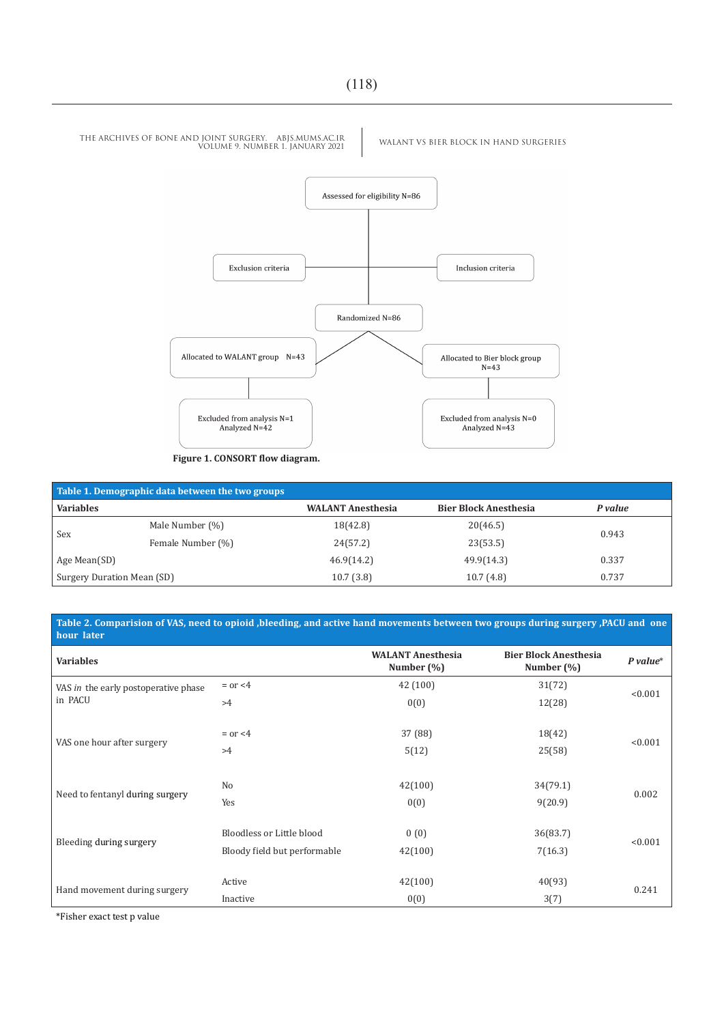

| Table 1. Demographic data between the two groups |                   |                          |                              |         |  |  |  |  |
|--------------------------------------------------|-------------------|--------------------------|------------------------------|---------|--|--|--|--|
| <b>Variables</b>                                 |                   | <b>WALANT Anesthesia</b> | <b>Bier Block Anesthesia</b> | P value |  |  |  |  |
| Sex                                              | Male Number (%)   | 18(42.8)                 | 20(46.5)                     | 0.943   |  |  |  |  |
|                                                  | Female Number (%) | 24(57.2)                 | 23(53.5)                     |         |  |  |  |  |
| Age Mean(SD)                                     |                   | 46.9(14.2)               | 49.9(14.3)                   | 0.337   |  |  |  |  |
| Surgery Duration Mean (SD)                       |                   | 10.7(3.8)                | 10.7(4.8)                    | 0.737   |  |  |  |  |

**Table 2. Comparision of VAS, need to opioid ,bleeding, and active hand movements between two groups during surgery ,PACU and one hour** later

| <b>Variables</b>                     |                                                           | <b>WALANT Anesthesia</b><br>Number $(\% )$ | <b>Bier Block Anesthesia</b><br>Number $(\%)$ | $P$ value* |  |
|--------------------------------------|-----------------------------------------------------------|--------------------------------------------|-----------------------------------------------|------------|--|
| VAS in the early postoperative phase | $=$ or $<$ 4                                              | 42(100)                                    | 31(72)                                        | < 0.001    |  |
| in PACU                              | >4                                                        | 0(0)                                       | 12(28)                                        |            |  |
| VAS one hour after surgery           | $=$ or $<$ 4<br>>4                                        | 37 (88)<br>5(12)                           | 18(42)<br>25(58)                              | < 0.001    |  |
|                                      | N <sub>o</sub>                                            | 42(100)                                    | 34(79.1)                                      | 0.002      |  |
| Need to fentanyl during surgery      | Yes                                                       | 0(0)                                       | 9(20.9)                                       |            |  |
| Bleeding during surgery              | Bloodless or Little blood<br>Bloody field but performable | 0(0)<br>42(100)                            | 36(83.7)<br>7(16.3)                           | < 0.001    |  |
|                                      | Active                                                    | 42(100)                                    | 40(93)                                        | 0.241      |  |
| Hand movement during surgery         | Inactive                                                  | 0(0)                                       | 3(7)                                          |            |  |

\*Fisher exact test p value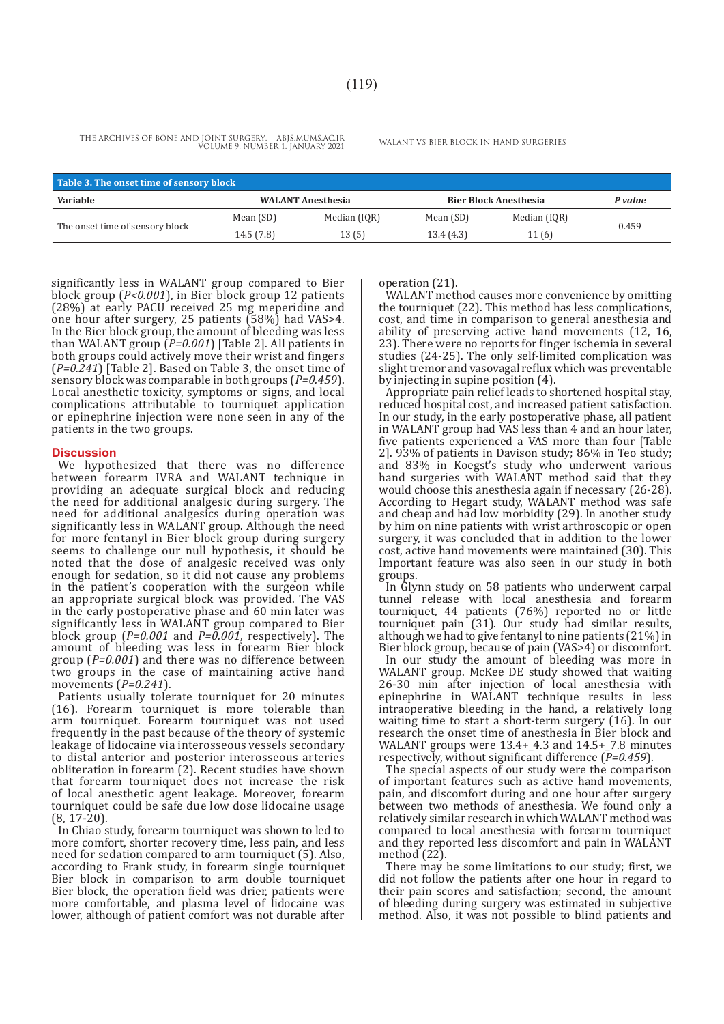| Table 3. The onset time of sensory block |                                                          |              |           |              |       |  |  |  |  |
|------------------------------------------|----------------------------------------------------------|--------------|-----------|--------------|-------|--|--|--|--|
| <b>Variable</b>                          | <b>WALANT Anesthesia</b><br><b>Bier Block Anesthesia</b> |              | P value   |              |       |  |  |  |  |
| The onset time of sensory block          | Mean (SD)                                                | Median (IQR) | Mean (SD) | Median (IQR) | 0.459 |  |  |  |  |
|                                          | 14.5 (7.8)                                               | 13(5)        | 13.4(4.3) | 11 (6)       |       |  |  |  |  |

significantly less in WALANT group compared to Bier block group (*P<0.001*), in Bier block group 12 patients (28%) at early PACU received 25 mg meperidine and one hour after surgery, 25 patients (58%) had VAS>4. In the Bier block group, the amount of bleeding was less than WALANT group (*P=0.001*) [Table 2]. All patients in both groups could actively move their wrist and fingers (*P=0.241*) [Table 2]. Based on Table 3, the onset time of sensory block was comparable in both groups (*P=0.459*). Local anesthetic toxicity, symptoms or signs, and local complications attributable to tourniquet application or epinephrine injection were none seen in any of the patients in the two groups.

#### **Discussion**

We hypothesized that there was no difference between forearm IVRA and WALANT technique in providing an adequate surgical block and reducing the need for additional analgesic during surgery. The need for additional analgesics during operation was significantly less in WALANT group. Although the need for more fentanyl in Bier block group during surgery seems to challenge our null hypothesis, it should be noted that the dose of analgesic received was only enough for sedation, so it did not cause any problems in the patient's cooperation with the surgeon while an appropriate surgical block was provided. The VAS in the early postoperative phase and 60 min later was significantly less in WALANT group compared to Bier block group ( $P=0.001$  and  $P=\overline{0.001}$ , respectively). The amount of bleeding was less in forearm Bier block group (*P=0.001*) and there was no difference between two groups in the case of maintaining active hand movements (*P=0.241*).

Patients usually tolerate tourniquet for 20 minutes (16). Forearm tourniquet is more tolerable than arm tourniquet. Forearm tourniquet was not used frequently in the past because of the theory of systemic leakage of lidocaine via interosseous vessels secondary to distal anterior and posterior interosseous arteries obliteration in forearm (2). Recent studies have shown that forearm tourniquet does not increase the risk of local anesthetic agent leakage. Moreover, forearm tourniquet could be safe due low dose lidocaine usage  $(8, 17 - 20)$ .

In Chiao study, forearm tourniquet was shown to led to more comfort, shorter recovery time, less pain, and less need for sedation compared to arm tourniquet (5). Also, according to Frank study, in forearm single tourniquet Bier block in comparison to arm double tourniquet Bier block, the operation field was drier, patients were more comfortable, and plasma level of lidocaine was lower, although of patient comfort was not durable after operation (21).

WALANT method causes more convenience by omitting the tourniquet (22). This method has less complications, cost, and time in comparison to general anesthesia and ability of preserving active hand movements (12, 16, 23). There were no reports for finger ischemia in several studies (24-25). The only self-limited complication was slight tremor and vasovagal reflux which was preventable by injecting in supine position (4).

Appropriate pain relief leads to shortened hospital stay, reduced hospital cost, and increased patient satisfaction. In our study, in the early postoperative phase, all patient in WALANT group had VAS less than 4 and an hour later, five patients experienced a VAS more than four [Table 2]. 93% of patients in Davison study; 86% in Teo study; and 83% in Koegst's study who underwent various hand surgeries with WALANT method said that they would choose this anesthesia again if necessary (26-28). According to Hegart study, WALANT method was safe and cheap and had low morbidity (29). In another study by him on nine patients with wrist arthroscopic or open surgery, it was concluded that in addition to the lower cost, active hand movements were maintained (30). This Important feature was also seen in our study in both groups.

In Glynn study on 58 patients who underwent carpal tunnel release with local anesthesia and forearm tourniquet, 44 patients (76%) reported no or little tourniquet pain (31). Our study had similar results, although we had to give fentanyl to nine patients (21%) in Bier block group, because of pain (VAS>4) or discomfort.

In our study the amount of bleeding was more in WALANT group. McKee DE study showed that waiting 26-30 min after injection of local anesthesia with epinephrine in WALANT technique results in less intraoperative bleeding in the hand, a relatively long waiting time to start a short-term surgery (16). In our research the onset time of anesthesia in Bier block and WALANT groups were 13.4+\_4.3 and 14.5+\_7.8 minutes respectively, without significant difference (*P=0.459*).

The special aspects of our study were the comparison of important features such as active hand movements, pain, and discomfort during and one hour after surgery between two methods of anesthesia. We found only a relatively similar research in which WALANT method was compared to local anesthesia with forearm tourniquet and they reported less discomfort and pain in WALANT method (22).

There may be some limitations to our study; first, we did not follow the patients after one hour in regard to their pain scores and satisfaction; second, the amount of bleeding during surgery was estimated in subjective method. Also, it was not possible to blind patients and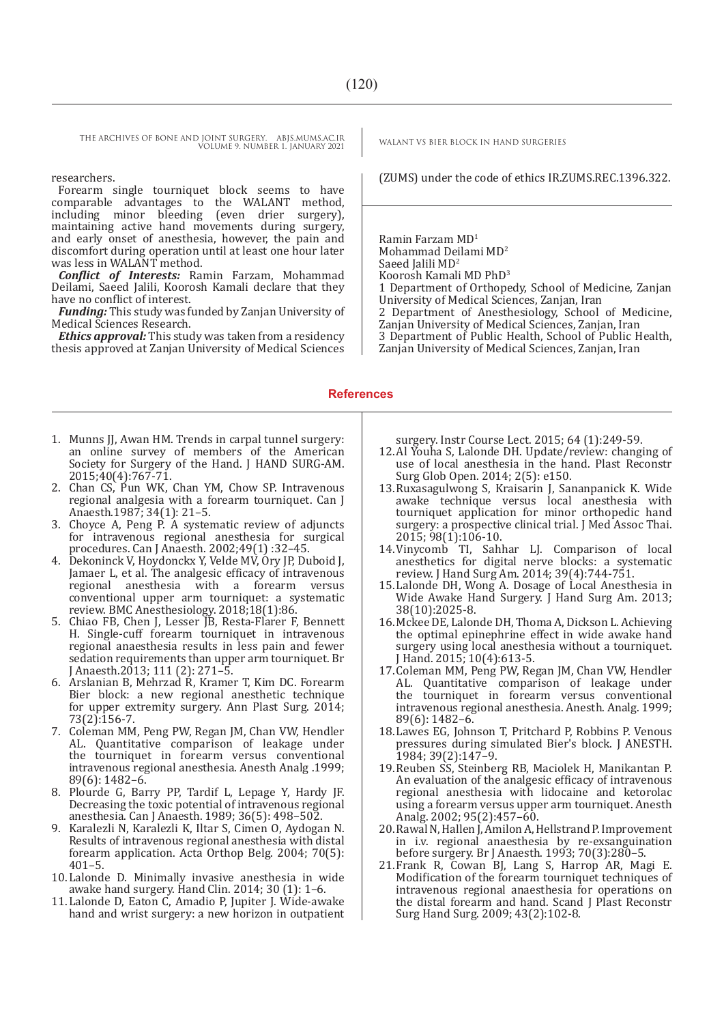Forearm single tourniquet block seems to have comparable advantages to the WALANT method, including minor bleeding (even drier surgery), maintaining active hand movements during surgery, and early onset of anesthesia, however, the pain and discomfort during operation until at least one hour later was less in WALANT method.

*Conflict of Interests:* Ramin Farzam, Mohammad Deilami, Saeed Jalili, Koorosh Kamali declare that they have no conflict of interest.

*Funding:* This study was funded by Zanjan University of Medical Sciences Research.

*Ethics approval:* This study was taken from a residency thesis approved at Zanjan University of Medical Sciences

researchers. (ZUMS) under the code of ethics IR.ZUMS.REC.1396.322.

Ramin Farzam MD<sup>1</sup> Mohammad Deilami MD<sup>2</sup> Saeed Jalili MD<sup>2</sup> Koorosh Kamali MD PhD<sup>3</sup> 1 Department of Orthopedy, School of Medicine, Zanjan University of Medical Sciences, Zanjan, Iran 2 Department of Anesthesiology, School of Medicine, Zanjan University of Medical Sciences, Zanjan, Iran 3 Department of Public Health, School of Public Health, Zanjan University of Medical Sciences, Zanjan, Iran

#### **References**

- 1. Munns JJ, Awan HM. Trends in carpal tunnel surgery: an online survey of members of the American Society for Surgery of the Hand. J HAND SURG-AM. 2015;40(4):767-71.
- 2. Chan CS, Pun WK, Chan YM, Chow SP. Intravenous regional analgesia with a forearm tourniquet. Can J Anaesth.1987; 34(1): 21–5.
- 3. Choyce A, Peng P. A systematic review of adjuncts for intravenous regional anesthesia for surgical procedures. Can J Anaesth. 2002;49(1) :32–45.
- 4. Dekoninck V, Hoydonckx Y, Velde MV, Ory JP, Duboid J, Jamaer L, et al. The analgesic efficacy of intravenous regional anesthesia with a forearm versus conventional upper arm tourniquet: a systematic review. BMC Anesthesiology. 2018;18(1):86.
- 5. Chiao FB, Chen J, Lesser JB, Resta-Flarer F, Bennett H. Single-cuff forearm tourniquet in intravenous regional anaesthesia results in less pain and fewer sedation requirements than upper arm tourniquet. Br J Anaesth.2013; 111 (2): 271–5.
- 6. Arslanian B, Mehrzad R, Kramer T, Kim DC. Forearm Bier block: a new regional anesthetic technique for upper extremity surgery. Ann Plast Surg. 2014; 73(2):156-7.
- 7. Coleman MM, Peng PW, Regan JM, Chan VW, Hendler AL. Quantitative comparison of leakage under the tourniquet in forearm versus conventional intravenous regional anesthesia. Anesth Analg .1999; 89(6): 1482–6.
- 8. Plourde G, Barry PP, Tardif L, Lepage Y, Hardy JF. Decreasing the toxic potential of intravenous regional anesthesia. Can J Anaesth. 1989; 36(5): 498–502.
- 9. Karalezli N, Karalezli K, Iltar S, Cimen O, Aydogan N. Results of intravenous regional anesthesia with distal forearm application. Acta Orthop Belg. 2004; 70(5): 401–5.
- 10.Lalonde D. Minimally invasive anesthesia in wide awake hand surgery. Hand Clin. 2014; 30 (1): 1–6.
- 11.Lalonde D, Eaton C, Amadio P, Jupiter J. Wide-awake hand and wrist surgery: a new horizon in outpatient

surgery. Instr Course Lect. 2015; 64 (1):249-59.

- 12.Al Youha S, Lalonde DH. Update/review: changing of use of local anesthesia in the hand. Plast Reconstr Surg Glob Open. 2014; 2(5): e150.
- 13.Ruxasagulwong S, Kraisarin J, Sananpanick K. Wide awake technique versus local anesthesia with tourniquet application for minor orthopedic hand surgery: a prospective clinical trial. J Med Assoc Thai. 2015; 98(1):106-10.
- 14.Vinycomb TI, Sahhar LJ. Comparison of local anesthetics for digital nerve blocks: a systematic review. J Hand Surg Am. 2014; 39(4):744-751.
- 15.Lalonde DH, Wong A. Dosage of Local Anesthesia in Wide Awake Hand Surgery. J Hand Surg Am. 2013; 38(10):2025-8.
- 16.Mckee DE, Lalonde DH, Thoma A, Dickson L. Achieving the optimal epinephrine effect in wide awake hand surgery using local anesthesia without a tourniquet. J Hand. 2015; 10(4):613-5.
- 17.Coleman MM, Peng PW, Regan JM, Chan VW, Hendler AL. Quantitative comparison of leakage under the tourniquet in forearm versus conventional intravenous regional anesthesia. Anesth. Analg. 1999; 89(6): 1482–6.
- 18.Lawes EG, Johnson T, Pritchard P, Robbins P. Venous pressures during simulated Bier's block. J ANESTH. 1984; 39(2):147–9.
- 19.Reuben SS, Steinberg RB, Maciolek H, Manikantan P. An evaluation of the analgesic efficacy of intravenous regional anesthesia with lidocaine and ketorolac using a forearm versus upper arm tourniquet. Anesth Analg. 2002; 95(2):457–60.
- 20.Rawal N, Hallen J, Amilon A, Hellstrand P. Improvement in i.v. regional anaesthesia by re-exsanguination before surgery. Br J Anaesth. 1993; 70(3):280–5.
- 21.Frank R, Cowan BJ, Lang S, Harrop AR, Magi E. Modification of the forearm tourniquet techniques of intravenous regional anaesthesia for operations on the distal forearm and hand. Scand J Plast Reconstr Surg Hand Surg. 2009; 43(2):102-8.